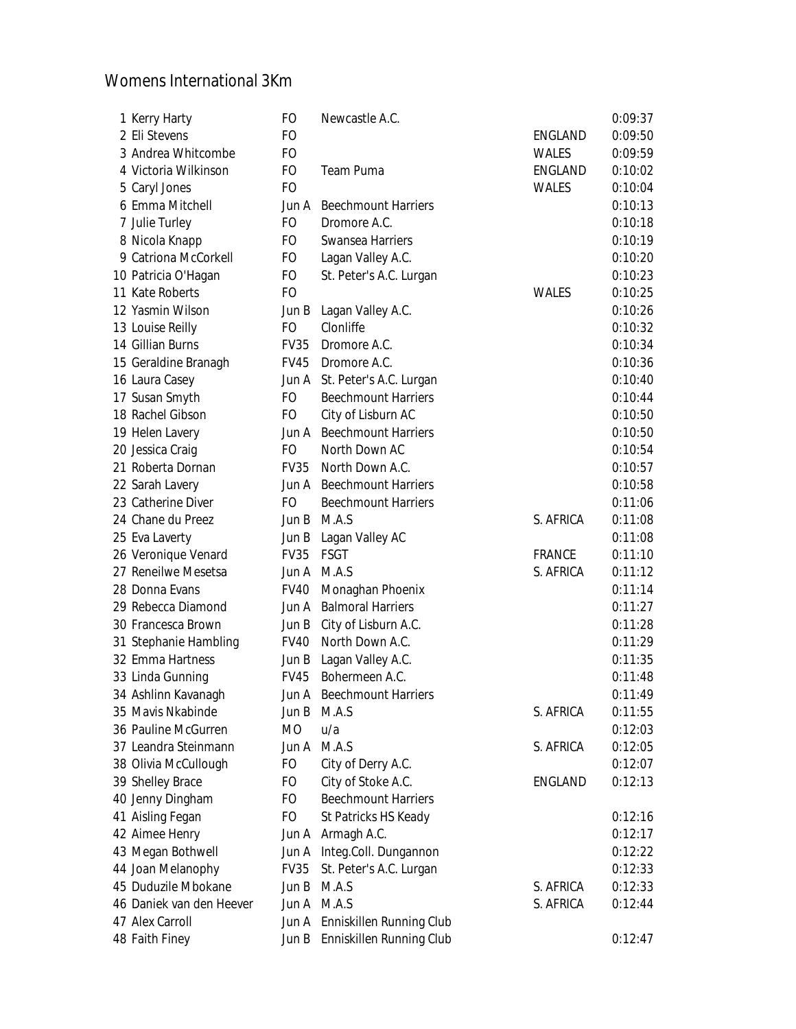## Womens International 3Km

| 1 Kerry Harty            | <b>FO</b>   | Newcastle A.C.                 |               | 0:09:37 |
|--------------------------|-------------|--------------------------------|---------------|---------|
| 2 Eli Stevens            | FO          |                                | ENGLAND       | 0:09:50 |
| 3 Andrea Whitcombe       | FO          |                                | <b>WALES</b>  | 0:09:59 |
| 4 Victoria Wilkinson     | FO          | Team Puma                      | ENGLAND       | 0:10:02 |
| 5 Caryl Jones            | FO          |                                | <b>WALES</b>  | 0:10:04 |
| 6 Emma Mitchell          | Jun A       | <b>Beechmount Harriers</b>     |               | 0:10:13 |
| 7 Julie Turley           | FO          | Dromore A.C.                   |               | 0:10:18 |
| 8 Nicola Knapp           | FO.         | <b>Swansea Harriers</b>        |               | 0:10:19 |
| 9 Catriona McCorkell     | FO          | Lagan Valley A.C.              |               | 0:10:20 |
| 10 Patricia O'Hagan      | FO          | St. Peter's A.C. Lurgan        |               | 0:10:23 |
| 11 Kate Roberts          | FO          |                                | WALES         | 0:10:25 |
| 12 Yasmin Wilson         | Jun B       | Lagan Valley A.C.              |               | 0:10:26 |
| 13 Louise Reilly         | FO          | Clonliffe                      |               | 0:10:32 |
| 14 Gillian Burns         | <b>FV35</b> | Dromore A.C.                   |               | 0:10:34 |
| 15 Geraldine Branagh     | <b>FV45</b> | Dromore A.C.                   |               | 0:10:36 |
| 16 Laura Casey           | Jun A       | St. Peter's A.C. Lurgan        |               | 0:10:40 |
| 17 Susan Smyth           | FO.         | <b>Beechmount Harriers</b>     |               | 0:10:44 |
| 18 Rachel Gibson         | FO          | City of Lisburn AC             |               | 0:10:50 |
| 19 Helen Lavery          | Jun A       | <b>Beechmount Harriers</b>     |               | 0:10:50 |
| 20 Jessica Craig         | FO          | North Down AC                  |               | 0:10:54 |
| 21 Roberta Dornan        | <b>FV35</b> | North Down A.C.                |               | 0:10:57 |
| 22 Sarah Lavery          |             | Jun A Beechmount Harriers      |               | 0:10:58 |
| 23 Catherine Diver       | FO          | <b>Beechmount Harriers</b>     |               | 0:11:06 |
| 24 Chane du Preez        | Jun B       | M.A.S                          | S. AFRICA     | 0:11:08 |
| 25 Eva Laverty           | Jun B       | Lagan Valley AC                |               | 0:11:08 |
| 26 Veronique Venard      | <b>FV35</b> | <b>FSGT</b>                    | <b>FRANCE</b> | 0:11:10 |
| 27 Reneilwe Mesetsa      | Jun A       | M.A.S                          | S. AFRICA     | 0:11:12 |
| 28 Donna Evans           | <b>FV40</b> | Monaghan Phoenix               |               | 0:11:14 |
| 29 Rebecca Diamond       |             | Jun A Balmoral Harriers        |               | 0:11:27 |
| 30 Francesca Brown       |             | Jun B City of Lisburn A.C.     |               | 0:11:28 |
| 31 Stephanie Hambling    |             | FV40 North Down A.C.           |               | 0:11:29 |
| 32 Emma Hartness         | Jun B       | Lagan Valley A.C.              |               | 0:11:35 |
| 33 Linda Gunning         | <b>FV45</b> | Bohermeen A.C.                 |               | 0:11:48 |
| 34 Ashlinn Kavanagh      |             | Jun A Beechmount Harriers      |               | 0:11:49 |
| 35 Mavis Nkabinde        | Jun B       | M.A.S                          | S. AFRICA     | 0:11:55 |
| 36 Pauline McGurren      | MO          | u/a                            |               | 0:12:03 |
| 37 Leandra Steinmann     | Jun A       | M.A.S                          | S. AFRICA     | 0:12:05 |
| 38 Olivia McCullough     | FO.         | City of Derry A.C.             |               | 0:12:07 |
| 39 Shelley Brace         | FO.         | City of Stoke A.C.             | ENGLAND       | 0:12:13 |
| 40 Jenny Dingham         | FO.         | <b>Beechmount Harriers</b>     |               |         |
| 41 Aisling Fegan         | FO          | St Patricks HS Keady           |               | 0:12:16 |
| 42 Aimee Henry           |             | Jun A Armagh A.C.              |               | 0:12:17 |
| 43 Megan Bothwell        |             | Jun A Integ.Coll. Dungannon    |               | 0:12:22 |
| 44 Joan Melanophy        | <b>FV35</b> | St. Peter's A.C. Lurgan        |               | 0:12:33 |
| 45 Duduzile Mbokane      | Jun B       | M.A.S                          | S. AFRICA     | 0:12:33 |
| 46 Daniek van den Heever | Jun A M.A.S |                                | S. AFRICA     | 0:12:44 |
| 47 Alex Carroll          |             | Jun A Enniskillen Running Club |               |         |
| 48 Faith Finey           | Jun B       | Enniskillen Running Club       |               | 0:12:47 |
|                          |             |                                |               |         |